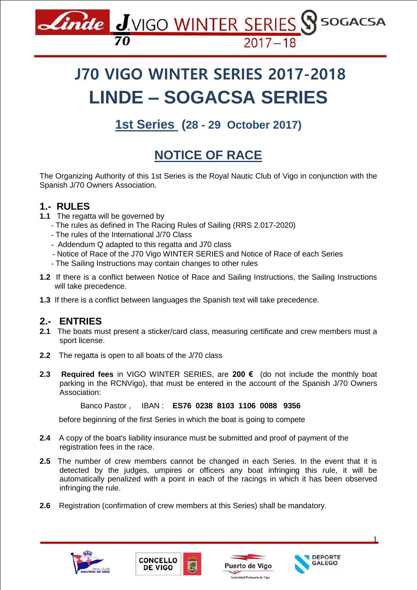

# **J70 VIGO WINTER SERIES 2017-2018 LINDE – SOGACSA SERIES**

**1st Series (28 - 29 October 2017)**

## **NOTICE OF RACE**

The Organizing Authority of this 1st Series is the Royal Nautic Club of Vigo in conjunction with the Spanish J/70 Owners Association.

### **1.- RULES**

- **1.1** The regatta will be governed by
	- The rules as defined in The Racing Rules of Sailing (RRS 2.017-2020)
	- The rules of the International J/70 Class
	- Addendum Q adapted to this regatta and J70 class
	- Notice of Race of the J70 Vigo WINTER SERIES and Notice of Race of each Series
	- The Sailing Instructions may contain changes to other rules
- **1.2** If there is a conflict between Notice of Race and Sailing Instructions, the Sailing Instructions will take precedence.
- **1.3** If there is a conflict between languages the Spanish text will take precedence.

#### **2.- ENTRIES**

- **2.1** The boats must present a sticker/card class, measuring certificate and crew members must a sport license.
- **2.2** The regatta is open to all boats of the J/70 class
- **2.3 Required fees** in VIGO WINTER SERIES, are **200 €** (do not include the monthly boat parking in the RCNVigo), that must be entered in the account of the Spanish J/70 Owners Association:

Banco Pastor , IBAN : **ES76 0238 8103 1106 0088 9356**

before beginning of the first Series in which the boat is going to compete

- **2.4** A copy of the boat's liability insurance must be submitted and proof of payment of the registration fees in the race.
- **2.5** The number of crew members cannot be changed in each Series. In the event that it is detected by the judges, umpires or officers any boat infringing this rule, it will be automatically penalized with a point in each of the racings in which it has been observed infringing the rule.
- **2.6** Registration (confirmation of crew members at this Series) shall be mandatory.









1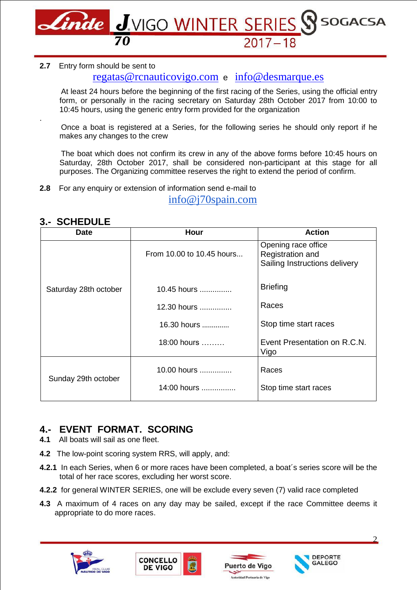

#### **2.7** Entry form should be sent to

#### [regatas@rcnauticovigo.com](mailto:regatas@rcnauticovigo.com) e [info@desmarque.es](mailto:info@desmarque.es)

At least 24 hours before the beginning of the first racing of the Series, using the official entry form, or personally in the racing secretary on Saturday 28th October 2017 from 10:00 to 10:45 hours, using the generic entry form provided for the organization

 Once a boat is registered at a Series, for the following series he should only report if he makes any changes to the crew

 The boat which does not confirm its crew in any of the above forms before 10:45 hours on Saturday, 28th October 2017, shall be considered non-participant at this stage for all purposes. The Organizing committee reserves the right to extend the period of confirm.

**2.8** For any enquiry or extension of information send e-mail to

[info@j70spain.com](mailto:info@j70spain.com)

| <b>Date</b>           | Hour                      | <b>Action</b>                                                            |
|-----------------------|---------------------------|--------------------------------------------------------------------------|
|                       | From 10.00 to 10.45 hours | Opening race office<br>Registration and<br>Sailing Instructions delivery |
| Saturday 28th october | 10.45 hours               | <b>Briefing</b>                                                          |
|                       | 12.30 hours               | Races                                                                    |
|                       | 16.30 hours               | Stop time start races                                                    |
|                       | $18:00$ hours $\ldots$    | Event Presentation on R.C.N.<br>Vigo                                     |
| Sunday 29th october   | 10.00 hours               | Races                                                                    |
|                       | 14:00 hours               | Stop time start races                                                    |

#### **3.- SCHEDULE**

.

#### **4.- EVENT FORMAT. SCORING**

- **4.1** All boats will sail as one fleet.
- **4.2** The low-point scoring system RRS, will apply, and:
- **4.2.1** In each Series, when 6 or more races have been completed, a boat´s series score will be the total of her race scores, excluding her worst score.
- **4.2.2** for general WINTER SERIES, one will be exclude every seven (7) valid race completed
- **4.3** A maximum of 4 races on any day may be sailed, except if the race Committee deems it appropriate to do more races.